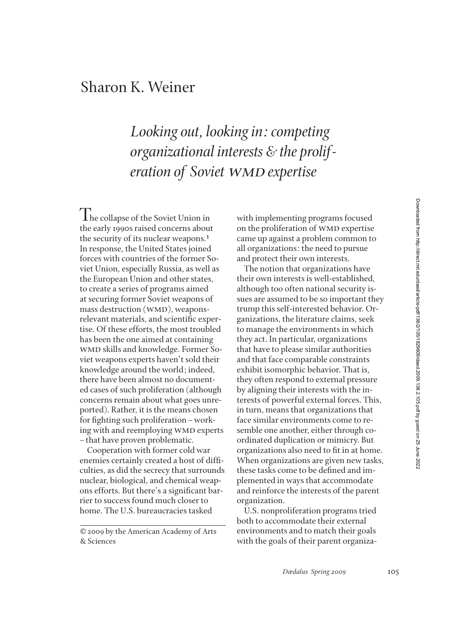## Sharon K. Weiner

*Looking out, looking in: competing organizational interests & the proliferation of Soviet WMD expertise* 

The collapse of the Soviet Union in the early 1990s raised concerns about the security of its nuclear weapons.<sup>1</sup> In response, the United States joined forces with countries of the former Soviet Union, especially Russia, as well as the European Union and other states, to create a series of programs aimed at securing former Soviet weapons of mass destruction (WMD), weaponsrelevant materials, and scientific expertise. Of these efforts, the most troubled has been the one aimed at containing wmd skills and knowledge. Former Soviet weapons experts haven't sold their knowledge around the world; indeed, there have been almost no documented cases of such proliferation (although concerns remain about what goes unreported). Rather, it is the means chosen for fighting such proliferation – working with and reemploying WMD experts –that have proven problematic.

Cooperation with former cold war enemies certainly created a host of difficulties, as did the secrecy that surrounds nuclear, biological, and chemical weapons efforts. But there's a significant barrier to success found much closer to home. The U.S. bureaucracies tasked

© 2009 by the American Academy of Arts & Sciences

with implementing programs focused on the proliferation of WMD expertise came up against a problem common to all organizations: the need to pursue and protect their own interests.

The notion that organizations have their own interests is well-established, although too often national security issues are assumed to be so important they trump this self-interested behavior. Organizations, the literature claims, seek to manage the environments in which they act. In particular, organizations that have to please similar authorities and that face comparable constraints exhibit isomorphic behavior. That is, they often respond to external pressure by aligning their interests with the interests of powerful external forces. This, in turn, means that organizations that face similar environments come to resemble one another, either through coordinated duplication or mimicry. But organizations also need to fit in at home. When organizations are given new tasks, these tasks come to be defined and implemented in ways that accommodate and reinforce the interests of the parent organization.

U.S. nonproliferation programs tried both to accommodate their external environments and to match their goals with the goals of their parent organiza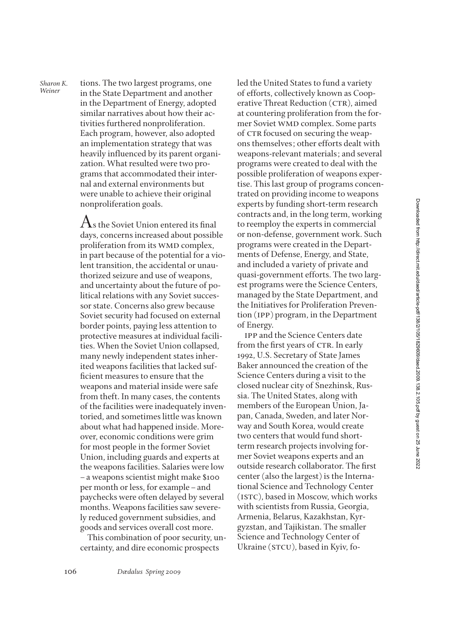tions. The two largest programs, one in the State Department and another in the Department of Energy, adopted similar narratives about how their activities furthered nonproliferation. Each program, however, also adopted an implementation strategy that was heavily influenced by its parent organization. What resulted were two programs that accommodated their internal and external environments but were unable to achieve their original nonproliferation goals.

*Sharon K. Weiner*

> $A<sub>s</sub>$  the Soviet Union entered its final days, concerns increased about possible proliferation from its WMD complex, in part because of the potential for a violent transition, the accidental or unauthorized seizure and use of weapons, and uncertainty about the future of political relations with any Soviet successor state. Concerns also grew because Soviet security had focused on external border points, paying less attention to protective measures at individual facilities. When the Soviet Union collapsed, many newly independent states inherited weapons facilities that lacked suf ficient measures to ensure that the weapons and material inside were safe from theft. In many cases, the contents of the facilities were inadequately inventoried, and sometimes little was known about what had happened inside. Moreover, economic conditions were grim for most people in the former Soviet Union, including guards and experts at the weapons facilities. Salaries were low –a weapons scientist might make \$100 per month or less, for example–and paychecks were often delayed by several months. Weapons facilities saw severely reduced government subsidies, and goods and services overall cost more.

> This combination of poor security, uncertainty, and dire economic prospects

led the United States to fund a variety of efforts, collectively known as Cooperative Threat Reduction (CTR), aimed at countering proliferation from the former Soviet wmd complex. Some parts of CTR focused on securing the weapons themselves; other efforts dealt with weapons-relevant materials; and several programs were created to deal with the possible proliferation of weapons expertise. This last group of programs concentrated on providing income to weapons experts by funding short-term research contracts and, in the long term, working to reemploy the experts in commercial or non-defense, government work. Such programs were created in the Departments of Defense, Energy, and State, and included a variety of private and quasi-government efforts. The two largest programs were the Science Centers, managed by the State Department, and the Initiatives for Proliferation Prevention (ipp) program, in the Department of Energy.

ipp and the Science Centers date from the first years of CTR. In early 1992, U.S. Secretary of State James Baker announced the creation of the Science Centers during a visit to the closed nuclear city of Snezhinsk, Russia. The United States, along with members of the European Union, Japan, Canada, Sweden, and later Norway and South Korea, would create two centers that would fund shortterm research projects involving former Soviet weapons experts and an outside research collaborator. The first center (also the largest) is the International Science and Technology Center (istc), based in Moscow, which works with scientists from Russia, Georgia, Armenia, Belarus, Kazakhstan, Kyrgyzstan, and Tajikistan. The smaller Science and Technology Center of Ukraine (STCU), based in Kyiv, fo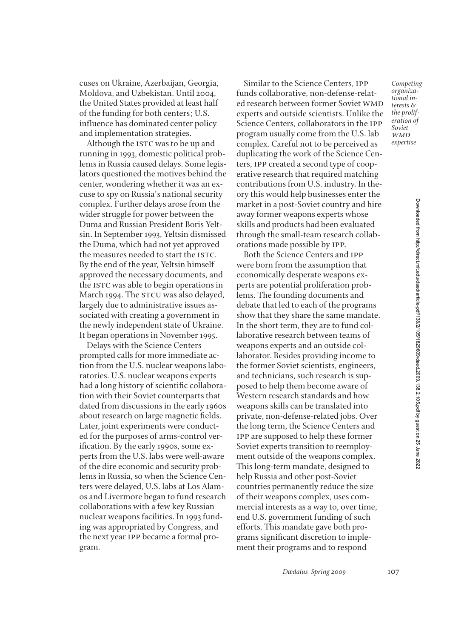cuses on Ukraine, Azerbaijan, Georgia, Moldova, and Uzbekistan. Until 2004, the United States provided at least half of the funding for both centers; U.S. influence has dominated center policy and implementation strategies.

Although the ISTC was to be up and running in 1993, domestic political problems in Russia caused delays. Some legislators questioned the motives behind the center, wondering whether it was an excuse to spy on Russia's national security complex. Further delays arose from the wider struggle for power between the Duma and Russian President Boris Yeltsin. In September 1993, Yeltsin dismissed the Duma, which had not yet approved the measures needed to start the ISTC. By the end of the year, Yeltsin himself approved the necessary documents, and the ISTC was able to begin operations in March 1994. The STCU was also delayed, largely due to administrative issues associated with creating a government in the newly independent state of Ukraine. It began operations in November 1995.

Delays with the Science Centers prompted calls for more immediate action from the U.S. nuclear weapons laboratories. U.S. nuclear weapons experts had a long history of scientific collaboration with their Soviet counterparts that dated from discussions in the early 1960s about research on large magnetic fields. Later, joint experiments were conducted for the purposes of arms-control verification. By the early 1990s, some experts from the U.S. labs were well-aware of the dire economic and security problems in Russia, so when the Science Centers were delayed, U.S. labs at Los Alamos and Livermore began to fund research collaborations with a few key Russian nuclear weapons facilities. In 1993 funding was appropriated by Congress, and the next year ipp became a formal program.

Similar to the Science Centers, ipp funds collaborative, non-defense-related research between former Soviet WMD experts and outside scientists. Unlike the Science Centers, collaborators in the ipp program usually come from the U.S. lab complex. Careful not to be perceived as duplicating the work of the Science Centers, ipp created a second type of cooperative research that required matching contributions from U.S. industry. In theory this would help businesses enter the market in a post-Soviet country and hire away former weapons experts whose skills and products had been evaluated through the small-team research collaborations made possible by ipp.

Both the Science Centers and ipp were born from the assumption that economically desperate weapons experts are potential proliferation problems. The founding documents and debate that led to each of the programs show that they share the same mandate. In the short term, they are to fund collaborative research between teams of weapons experts and an outside collaborator. Besides providing income to the former Soviet scientists, engineers, and technicians, such research is supposed to help them become aware of Western research standards and how weapons skills can be translated into private, non-defense-related jobs. Over the long term, the Science Centers and ipp are supposed to help these former Soviet experts transition to reemployment outside of the weapons complex. This long-term mandate, designed to help Russia and other post-Soviet countries permanently reduce the size of their weapons complex, uses commercial interests as a way to, over time, end U.S. government funding of such efforts. This mandate gave both programs significant discretion to implement their programs and to respond

*Competing organizational interests & the proliferation of Soviet* **WMD** *expertise*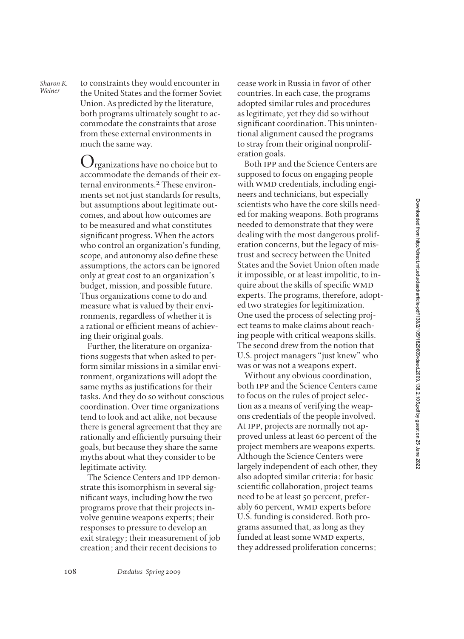*Sharon K. Sharon K.* to constraints they would encounter in Weiner the United States and the former Soviet Union. As predicted by the literature, both programs ultimately sought to accommodate the constraints that arose from these external environments in much the same way.

> $\mathbf{U}$ rganizations have no choice but to accommodate the demands of their external environments.2 These environments set not just standards for results, but assumptions about legitimate outcomes, and about how outcomes are to be measured and what constitutes significant progress. When the actors who control an organization's funding, scope, and autonomy also define these assumptions, the actors can be ignored only at great cost to an organization's budget, mission, and possible future. Thus organizations come to do and measure what is valued by their environments, regardless of whether it is a rational or efficient means of achieving their original goals.

Further, the literature on organizations suggests that when asked to perform similar missions in a similar environment, organizations will adopt the same myths as justifications for their tasks. And they do so without conscious coordination. Over time organizations tend to look and act alike, not because there is general agreement that they are rationally and efficiently pursuing their goals, but because they share the same myths about what they consider to be legitimate activity.

The Science Centers and ipp demonstrate this isomorphism in several significant ways, including how the two programs prove that their projects involve genuine weapons experts; their responses to pressure to develop an exit strategy; their measurement of job creation; and their recent decisions to

cease work in Russia in favor of other countries. In each case, the programs adopted similar rules and procedures as legitimate, yet they did so without significant coordination. This unintentional alignment caused the programs to stray from their original nonproliferation goals.

Both ipp and the Science Centers are supposed to focus on engaging people with WMD credentials, including engineers and technicians, but especially scientists who have the core skills needed for making weapons. Both programs needed to demonstrate that they were dealing with the most dangerous proliferation concerns, but the legacy of mistrust and secrecy between the United States and the Soviet Union often made it impossible, or at least impolitic, to inquire about the skills of specific WMD experts. The programs, therefore, adopted two strategies for legitimization. One used the process of selecting project teams to make claims about reaching people with critical weapons skills. The second drew from the notion that U.S. project managers "just knew" who was or was not a weapons expert.

Without any obvious coordination, both ipp and the Science Centers came to focus on the rules of project selection as a means of verifying the weapons credentials of the people involved. At ipp, projects are normally not approved unless at least 60 percent of the project members are weapons experts. Although the Science Centers were largely independent of each other, they also adopted similar criteria: for basic scientific collaboration, project teams need to be at least 50 percent, preferably 60 percent, WMD experts before U.S. funding is considered. Both programs assumed that, as long as they funded at least some WMD experts, they addressed proliferation concerns;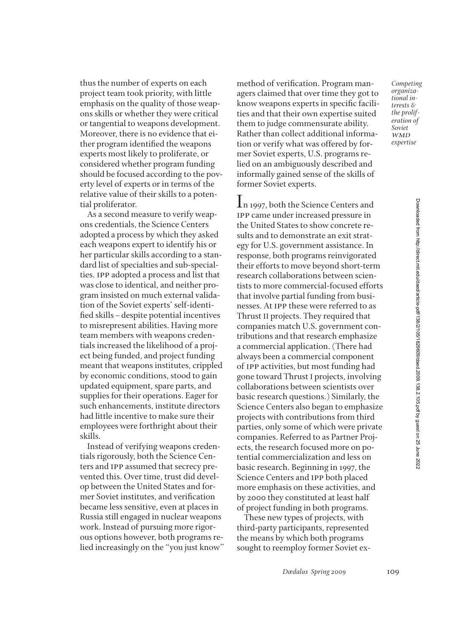thus the number of experts on each project team took priority, with little emphasis on the quality of those weapons skills or whether they were critical or tangential to weapons development. Moreover, there is no evidence that either program identified the weapons experts most likely to proliferate, or considered whether program funding should be focused according to the poverty level of experts or in terms of the relative value of their skills to a potential proliferator.

As a second measure to verify weapons credentials, the Science Centers adopted a process by which they asked each weapons expert to identify his or her particular skills according to a standard list of specialties and sub-specialties. ipp adopted a process and list that was close to identical, and neither program insisted on much external validation of the Soviet experts' self-identi fied skills – despite potential incentives to misrepresent abilities. Having more team members with weapons credentials increased the likelihood of a project being funded, and project funding meant that weapons institutes, crippled by economic conditions, stood to gain updated equipment, spare parts, and supplies for their operations. Eager for such enhancements, institute directors had little incentive to make sure their employees were forthright about their skills.

Instead of verifying weapons credentials rigorously, both the Science Centers and ipp assumed that secrecy prevented this. Over time, trust did develop between the United States and former Soviet institutes, and verification became less sensitive, even at places in Russia still engaged in nuclear weapons work. Instead of pursuing more rigorous options however, both programs relied increasingly on the "you just know" method of verification. Program managers claimed that over time they got to know weapons experts in specific facilities and that their own expertise suited them to judge commensurate ability. Rather than collect additional information or verify what was offered by former Soviet experts, U.S. programs relied on an ambiguously described and informally gained sense of the skills of former Soviet experts.

In 1997, both the Science Centers and ipp came under increased pressure in the United States to show concrete results and to demonstrate an exit strategy for U.S. government assistance. In response, both programs reinvigorated their efforts to move beyond short-term research collaborations between scientists to more commercial-focused efforts that involve partial funding from businesses. At ipp these were referred to as Thrust II projects. They required that companies match U.S. government contributions and that research emphasize a commercial application. (There had always been a commercial component of ipp activities, but most funding had gone toward Thrust I projects, involving collaborations between scientists over basic research questions.) Similarly, the Science Centers also began to emphasize projects with contributions from third parties, only some of which were private companies. Referred to as Partner Projects, the research focused more on potential commercialization and less on basic research. Beginning in 1997, the Science Centers and ipp both placed more emphasis on these activities, and by 2000 they constituted at least half of project funding in both programs.

These new types of projects, with third-party participants, represented the means by which both programs sought to reemploy former Soviet ex-

*Dædalus Spring 2009* 109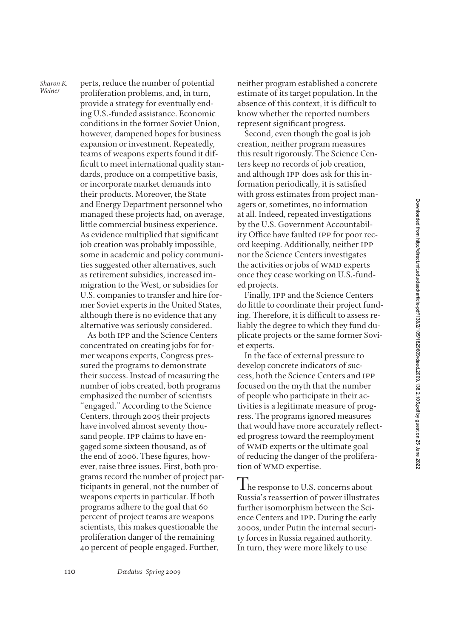*Sharon K. Sharon K.* perts, reduce the number of potential *Weiner* proliferation problems and in turn proliferation problems, and, in turn, provide a strategy for eventually ending U.S.-funded assistance. Economic conditions in the former Soviet Union, however, dampened hopes for business expansion or investment. Repeatedly, teams of weapons experts found it dif ficult to meet international quality standards, produce on a competitive basis, or incorporate market demands into their products. Moreover, the State and Energy Department personnel who managed these projects had, on average, little commercial business experience. As evidence multiplied that significant job creation was probably impossible, some in academic and policy communities suggested other alternatives, such as retirement subsidies, increased immigration to the West, or subsidies for U.S. companies to transfer and hire former Soviet experts in the United States, although there is no evidence that any alternative was seriously considered.

As both ipp and the Science Centers concentrated on creating jobs for former weapons experts, Congress pressured the programs to demonstrate their success. Instead of measuring the number of jobs created, both programs emphasized the number of scientists "engaged." According to the Science Centers, through 2005 their projects have involved almost seventy thousand people. ipp claims to have engaged some sixteen thousand, as of the end of 2006. These figures, however, raise three issues. First, both programs record the number of project participants in general, not the number of weapons experts in particular. If both programs adhere to the goal that 60 percent of project teams are weapons scientists, this makes questionable the proliferation danger of the remaining 40 percent of people engaged. Further,

neither program established a concrete estimate of its target population. In the absence of this context, it is difficult to know whether the reported numbers represent significant progress.

Second, even though the goal is job creation, neither program measures this result rigorously. The Science Centers keep no records of job creation, and although ipp does ask for this information periodically, it is satisfied with gross estimates from project managers or, sometimes, no information at all. Indeed, repeated investigations by the U.S. Government Accountability Office have faulted IPP for poor record keeping. Additionally, neither ipp nor the Science Centers investigates the activities or jobs of WMD experts once they cease working on U.S.-funded projects.

Finally, ipp and the Science Centers do little to coordinate their project funding. Therefore, it is difficult to assess reliably the degree to which they fund duplicate projects or the same former Soviet experts.

In the face of external pressure to develop concrete indicators of success, both the Science Centers and ipp focused on the myth that the number of people who participate in their activities is a legitimate measure of progress. The programs ignored measures that would have more accurately reflected progress toward the reemployment of wmd experts or the ultimate goal of reducing the danger of the proliferation of WMD expertise.

**The response to U.S. concerns about** Russia's reassertion of power illustrates further isomorphism between the Science Centers and ipp. During the early 2000s, under Putin the internal security forces in Russia regained authority. In turn, they were more likely to use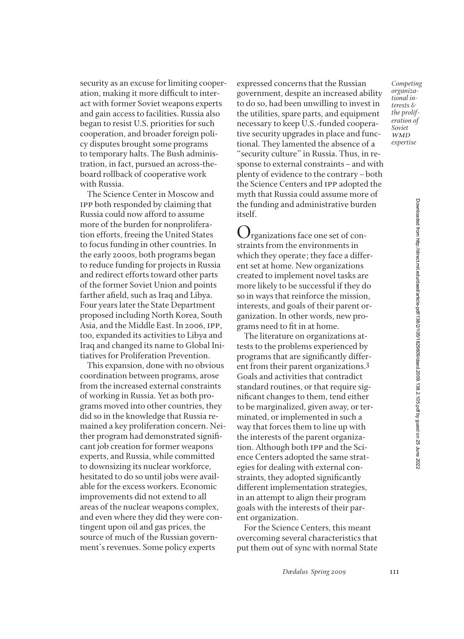security as an excuse for limiting cooperation, making it more difficult to interact with former Soviet weapons experts and gain access to facilities. Russia also began to resist U.S. priorities for such cooperation, and broader foreign policy disputes brought some programs to temporary halts. The Bush administration, in fact, pursued an across-theboard rollback of cooperative work with Russia.

The Science Center in Moscow and ipp both responded by claiming that Russia could now afford to assume more of the burden for nonproliferation efforts, freeing the United States to focus funding in other countries. In the early 2000s, both programs began to reduce funding for projects in Russia and redirect efforts toward other parts of the former Soviet Union and points farther afield, such as Iraq and Libya. Four years later the State Department proposed including North Korea, South Asia, and the Middle East. In 2006, ipp, too, expanded its activities to Libya and Iraq and changed its name to Global Initiatives for Proliferation Prevention.

This expansion, done with no obvious coordination between programs, arose from the increased external constraints of working in Russia. Yet as both programs moved into other countries, they did so in the knowledge that Russia remained a key proliferation concern. Neither program had demonstrated significant job creation for former weapons experts, and Russia, while committed to downsizing its nuclear workforce, hesitated to do so until jobs were available for the excess workers. Economic improvements did not extend to all areas of the nuclear weapons complex, and even where they did they were contingent upon oil and gas prices, the source of much of the Russian government's revenues. Some policy experts

expressed concerns that the Russian government, despite an increased ability to do so, had been unwilling to invest in the utilities, spare parts, and equipment necessary to keep U.S.-funded cooperative security upgrades in place and functional. They lamented the absence of a "security culture" in Russia. Thus, in response to external constraints–and with plenty of evidence to the contrary–both the Science Centers and ipp adopted the myth that Russia could assume more of the funding and administrative burden itself.

Organizations face one set of constraints from the environments in which they operate; they face a different set at home. New organizations created to implement novel tasks are more likely to be successful if they do so in ways that reinforce the mission, interests, and goals of their parent organization. In other words, new programs need to fit in at home.

The literature on organizations attests to the problems experienced by programs that are significantly different from their parent organizations.3 Goals and activities that contradict standard routines, or that require significant changes to them, tend either to be marginalized, given away, or terminated, or implemented in such a way that forces them to line up with the interests of the parent organization. Although both ipp and the Science Centers adopted the same strategies for dealing with external constraints, they adopted significantly different implementation strategies, in an attempt to align their program goals with the interests of their parent organization.

For the Science Centers, this meant overcoming several characteristics that put them out of sync with normal State

*Dædalus Spring 2009* 111

*Competing organizational interests & the proliferation of Soviet* **WMD** *expertise*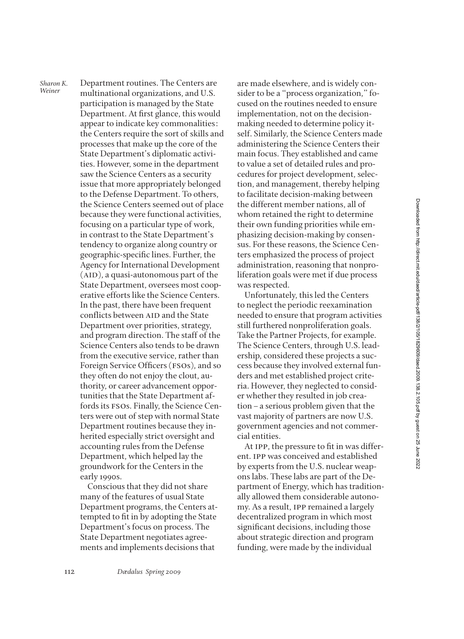Department routines. The Centers are multinational organizations, and U.S. participation is managed by the State Department. At first glance, this would appear to indicate key commonalities: the Centers require the sort of skills and processes that make up the core of the State Department's diplomatic activities. However, some in the department saw the Science Centers as a security issue that more appropriately belonged to the Defense Department. To others, the Science Centers seemed out of place because they were functional activities, focusing on a particular type of work, in contrast to the State Department's tendency to organize along country or geographic-speci½c lines. Further, the Agency for International Development  $(AID)$ , a quasi-autonomous part of the State Department, oversees most cooperative efforts like the Science Centers. In the past, there have been frequent conflicts between AID and the State Department over priorities, strategy, and program direction. The staff of the Science Centers also tends to be drawn from the executive service, rather than Foreign Service Officers (FSOs), and so they often do not enjoy the clout, authority, or career advancement opportunities that the State Department affords its fsos. Finally, the Science Centers were out of step with normal State Department routines because they inherited especially strict oversight and accounting rules from the Defense Department, which helped lay the groundwork for the Centers in the early 1990s. *Sharon K. Weiner*

Conscious that they did not share many of the features of usual State Department programs, the Centers attempted to fit in by adopting the State Department's focus on process. The State Department negotiates agreements and implements decisions that

are made elsewhere, and is widely consider to be a "process organization," focused on the routines needed to ensure implementation, not on the decisionmaking needed to determine policy itself. Similarly, the Science Centers made administering the Science Centers their main focus. They established and came to value a set of detailed rules and procedures for project development, selection, and management, thereby helping to facilitate decision-making between the different member nations, all of whom retained the right to determine their own funding priorities while emphasizing decision-making by consensus. For these reasons, the Science Centers emphasized the process of project administration, reasoning that nonproliferation goals were met if due process was respected.

Unfortunately, this led the Centers to neglect the periodic reexamination needed to ensure that program activities still furthered nonproliferation goals. Take the Partner Projects, for example. The Science Centers, through U.S. leadership, considered these projects a success because they involved external funders and met established project criteria. However, they neglected to consider whether they resulted in job creation–a serious problem given that the vast majority of partners are now U.S. government agencies and not commercial entities.

At IPP, the pressure to fit in was different. ipp was conceived and established by experts from the U.S. nuclear weapons labs. These labs are part of the Department of Energy, which has traditionally allowed them considerable autonomy. As a result, ipp remained a largely decentralized program in which most significant decisions, including those about strategic direction and program funding, were made by the individual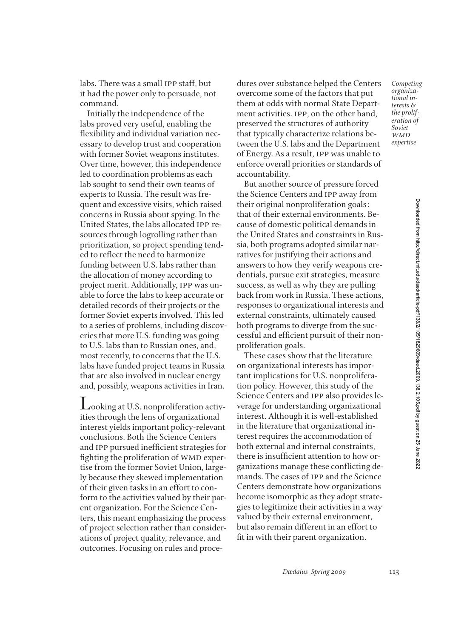labs. There was a small ipp staff, but it had the power only to persuade, not

Initially the independence of the labs proved very useful, enabling the flexibility and individual variation necessary to develop trust and cooperation with former Soviet weapons institutes. Over time, however, this independence led to coordination problems as each lab sought to send their own teams of experts to Russia. The result was frequent and excessive visits, which raised concerns in Russia about spying. In the United States, the labs allocated ipp resources through logrolling rather than prioritization, so project spending tended to reflect the need to harmonize funding between U.S. labs rather than the allocation of money according to project merit. Additionally, ipp was unable to force the labs to keep accurate or detailed records of their projects or the former Soviet experts involved. This led to a series of problems, including discoveries that more U.S. funding was going to U.S. labs than to Russian ones, and, most recently, to concerns that the U.S. labs have funded project teams in Russia that are also involved in nuclear energy and, possibly, weapons activities in Iran.

command.

Looking at U.S. nonproliferation activities through the lens of organizational interest yields important policy-relevant conclusions. Both the Science Centers and IPP pursued inefficient strategies for fighting the proliferation of WMD expertise from the former Soviet Union, largely because they skewed implementation of their given tasks in an effort to conform to the activities valued by their parent organization. For the Science Centers, this meant emphasizing the process of project selection rather than considerations of project quality, relevance, and outcomes. Focusing on rules and procedures over substance helped the Centers overcome some of the factors that put them at odds with normal State Department activities. ipp, on the other hand, preserved the structures of authority that typically characterize relations between the U.S. labs and the Department of Energy. As a result, ipp was unable to enforce overall priorities or standards of accountability.

But another source of pressure forced the Science Centers and ipp away from their original nonproliferation goals: that of their external environments. Because of domestic political demands in the United States and constraints in Russia, both programs adopted similar narratives for justifying their actions and answers to how they verify weapons credentials, pursue exit strategies, measure success, as well as why they are pulling back from work in Russia. These actions, responses to organizational interests and external constraints, ultimately caused both programs to diverge from the successful and efficient pursuit of their nonproliferation goals.

These cases show that the literature on organizational interests has important implications for U.S. nonproliferation policy. However, this study of the Science Centers and ipp also provides leverage for understanding organizational interest. Although it is well-established in the literature that organizational interest requires the accommodation of both external and internal constraints, there is insufficient attention to how organizations manage these conflicting demands. The cases of ipp and the Science Centers demonstrate how organizations become isomorphic as they adopt strategies to legitimize their activities in a way valued by their external environment, but also remain different in an effort to fit in with their parent organization.

Downloaded from http://direct.mit.edu/daed/article-pdf/138/2/105/1829609/daed.2009.138.2.105.pdf by guest on 25 June 2022 Downloaded from http://direct.mit.edu/daed/article-pdf/138/2/105/1829609/daed.2009.138.2.105.pdf by guest on 25 June 2022